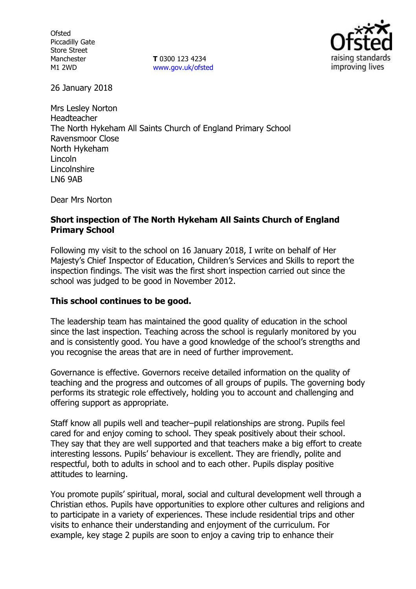**Ofsted** Piccadilly Gate Store Street Manchester M1 2WD

**T** 0300 123 4234 www.gov.uk/ofsted



26 January 2018

Mrs Lesley Norton Headteacher The North Hykeham All Saints Church of England Primary School Ravensmoor Close North Hykeham Lincoln Lincolnshire LN6 9AB

Dear Mrs Norton

#### **Short inspection of The North Hykeham All Saints Church of England Primary School**

Following my visit to the school on 16 January 2018, I write on behalf of Her Majesty's Chief Inspector of Education, Children's Services and Skills to report the inspection findings. The visit was the first short inspection carried out since the school was judged to be good in November 2012.

# **This school continues to be good.**

The leadership team has maintained the good quality of education in the school since the last inspection. Teaching across the school is regularly monitored by you and is consistently good. You have a good knowledge of the school's strengths and you recognise the areas that are in need of further improvement.

Governance is effective. Governors receive detailed information on the quality of teaching and the progress and outcomes of all groups of pupils. The governing body performs its strategic role effectively, holding you to account and challenging and offering support as appropriate.

Staff know all pupils well and teacher–pupil relationships are strong. Pupils feel cared for and enjoy coming to school. They speak positively about their school. They say that they are well supported and that teachers make a big effort to create interesting lessons. Pupils' behaviour is excellent. They are friendly, polite and respectful, both to adults in school and to each other. Pupils display positive attitudes to learning.

You promote pupils' spiritual, moral, social and cultural development well through a Christian ethos. Pupils have opportunities to explore other cultures and religions and to participate in a variety of experiences. These include residential trips and other visits to enhance their understanding and enjoyment of the curriculum. For example, key stage 2 pupils are soon to enjoy a caving trip to enhance their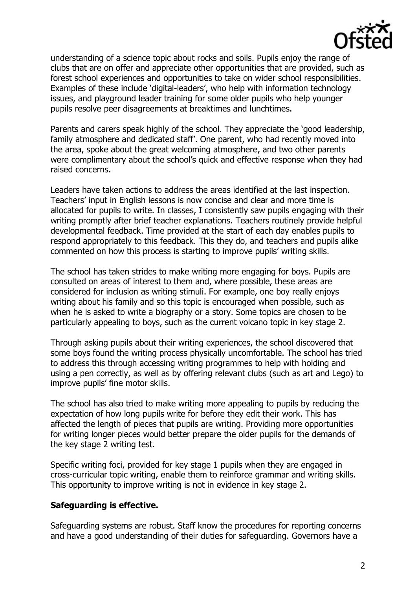

understanding of a science topic about rocks and soils. Pupils enjoy the range of clubs that are on offer and appreciate other opportunities that are provided, such as forest school experiences and opportunities to take on wider school responsibilities. Examples of these include 'digital-leaders', who help with information technology issues, and playground leader training for some older pupils who help younger pupils resolve peer disagreements at breaktimes and lunchtimes.

Parents and carers speak highly of the school. They appreciate the 'good leadership, family atmosphere and dedicated staff'. One parent, who had recently moved into the area, spoke about the great welcoming atmosphere, and two other parents were complimentary about the school's quick and effective response when they had raised concerns.

Leaders have taken actions to address the areas identified at the last inspection. Teachers' input in English lessons is now concise and clear and more time is allocated for pupils to write. In classes, I consistently saw pupils engaging with their writing promptly after brief teacher explanations. Teachers routinely provide helpful developmental feedback. Time provided at the start of each day enables pupils to respond appropriately to this feedback. This they do, and teachers and pupils alike commented on how this process is starting to improve pupils' writing skills.

The school has taken strides to make writing more engaging for boys. Pupils are consulted on areas of interest to them and, where possible, these areas are considered for inclusion as writing stimuli. For example, one boy really enjoys writing about his family and so this topic is encouraged when possible, such as when he is asked to write a biography or a story. Some topics are chosen to be particularly appealing to boys, such as the current volcano topic in key stage 2.

Through asking pupils about their writing experiences, the school discovered that some boys found the writing process physically uncomfortable. The school has tried to address this through accessing writing programmes to help with holding and using a pen correctly, as well as by offering relevant clubs (such as art and Lego) to improve pupils' fine motor skills.

The school has also tried to make writing more appealing to pupils by reducing the expectation of how long pupils write for before they edit their work. This has affected the length of pieces that pupils are writing. Providing more opportunities for writing longer pieces would better prepare the older pupils for the demands of the key stage 2 writing test.

Specific writing foci, provided for key stage 1 pupils when they are engaged in cross-curricular topic writing, enable them to reinforce grammar and writing skills. This opportunity to improve writing is not in evidence in key stage 2.

#### **Safeguarding is effective.**

Safeguarding systems are robust. Staff know the procedures for reporting concerns and have a good understanding of their duties for safeguarding. Governors have a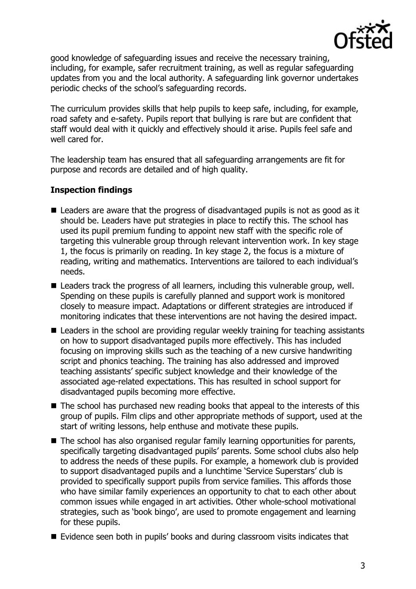

good knowledge of safeguarding issues and receive the necessary training, including, for example, safer recruitment training, as well as regular safeguarding updates from you and the local authority. A safeguarding link governor undertakes periodic checks of the school's safeguarding records.

The curriculum provides skills that help pupils to keep safe, including, for example, road safety and e-safety. Pupils report that bullying is rare but are confident that staff would deal with it quickly and effectively should it arise. Pupils feel safe and well cared for.

The leadership team has ensured that all safeguarding arrangements are fit for purpose and records are detailed and of high quality.

## **Inspection findings**

- Leaders are aware that the progress of disadvantaged pupils is not as good as it should be. Leaders have put strategies in place to rectify this. The school has used its pupil premium funding to appoint new staff with the specific role of targeting this vulnerable group through relevant intervention work. In key stage 1, the focus is primarily on reading. In key stage 2, the focus is a mixture of reading, writing and mathematics. Interventions are tailored to each individual's needs.
- Leaders track the progress of all learners, including this vulnerable group, well. Spending on these pupils is carefully planned and support work is monitored closely to measure impact. Adaptations or different strategies are introduced if monitoring indicates that these interventions are not having the desired impact.
- Leaders in the school are providing regular weekly training for teaching assistants on how to support disadvantaged pupils more effectively. This has included focusing on improving skills such as the teaching of a new cursive handwriting script and phonics teaching. The training has also addressed and improved teaching assistants' specific subject knowledge and their knowledge of the associated age-related expectations. This has resulted in school support for disadvantaged pupils becoming more effective.
- The school has purchased new reading books that appeal to the interests of this group of pupils. Film clips and other appropriate methods of support, used at the start of writing lessons, help enthuse and motivate these pupils.
- The school has also organised regular family learning opportunities for parents, specifically targeting disadvantaged pupils' parents. Some school clubs also help to address the needs of these pupils. For example, a homework club is provided to support disadvantaged pupils and a lunchtime 'Service Superstars' club is provided to specifically support pupils from service families. This affords those who have similar family experiences an opportunity to chat to each other about common issues while engaged in art activities. Other whole-school motivational strategies, such as 'book bingo', are used to promote engagement and learning for these pupils.
- Evidence seen both in pupils' books and during classroom visits indicates that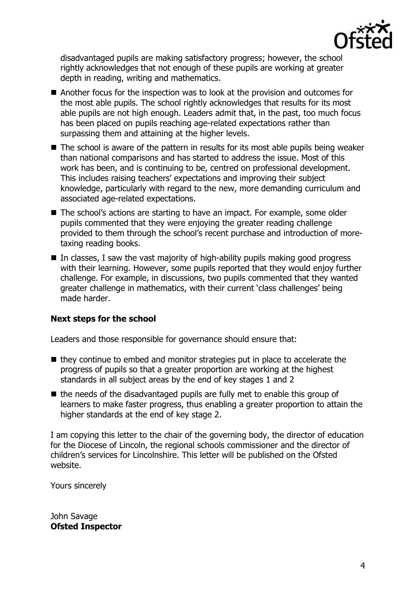

disadvantaged pupils are making satisfactory progress; however, the school rightly acknowledges that not enough of these pupils are working at greater depth in reading, writing and mathematics.

- Another focus for the inspection was to look at the provision and outcomes for the most able pupils. The school rightly acknowledges that results for its most able pupils are not high enough. Leaders admit that, in the past, too much focus has been placed on pupils reaching age-related expectations rather than surpassing them and attaining at the higher levels.
- $\blacksquare$  The school is aware of the pattern in results for its most able pupils being weaker than national comparisons and has started to address the issue. Most of this work has been, and is continuing to be, centred on professional development. This includes raising teachers' expectations and improving their subject knowledge, particularly with regard to the new, more demanding curriculum and associated age-related expectations.
- The school's actions are starting to have an impact. For example, some older pupils commented that they were enjoying the greater reading challenge provided to them through the school's recent purchase and introduction of moretaxing reading books.
- $\blacksquare$  In classes, I saw the vast majority of high-ability pupils making good progress with their learning. However, some pupils reported that they would enjoy further challenge. For example, in discussions, two pupils commented that they wanted greater challenge in mathematics, with their current 'class challenges' being made harder.

# **Next steps for the school**

Leaders and those responsible for governance should ensure that:

- $\blacksquare$  they continue to embed and monitor strategies put in place to accelerate the progress of pupils so that a greater proportion are working at the highest standards in all subject areas by the end of key stages 1 and 2
- $\blacksquare$  the needs of the disadvantaged pupils are fully met to enable this group of learners to make faster progress, thus enabling a greater proportion to attain the higher standards at the end of key stage 2.

I am copying this letter to the chair of the governing body, the director of education for the Diocese of Lincoln, the regional schools commissioner and the director of children's services for Lincolnshire. This letter will be published on the Ofsted website.

Yours sincerely

John Savage **Ofsted Inspector**